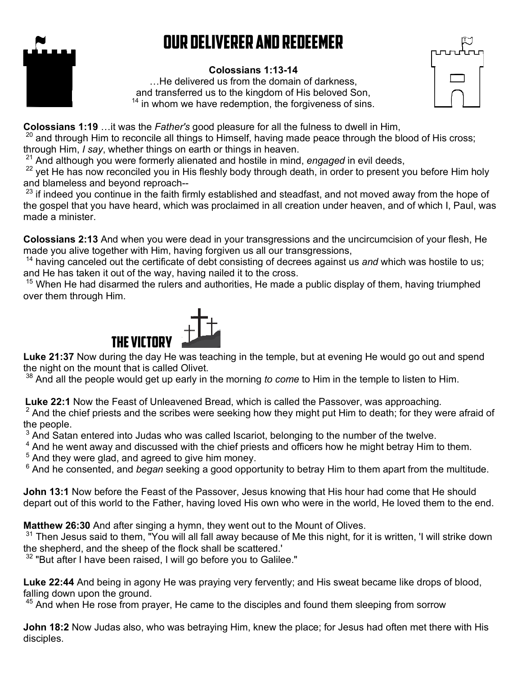## Our Deliverer and Redeemer



## **Colossians 1:13-14**

…He delivered us from the domain of darkness, and transferred us to the kingdom of His beloved Son,  $14$  in whom we have redemption, the forgiveness of sins.



**Colossians 1:19** …it was the *Father's* good pleasure for all the fulness to dwell in Him,

 $20$  and through Him to reconcile all things to Himself, having made peace through the blood of His cross;

through Him, *I say*, whether things on earth or things in heaven.

<sup>21</sup> And although you were formerly alienated and hostile in mind, *engaged* in evil deeds,

<sup>22</sup> yet He has now reconciled you in His fleshly body through death, in order to present you before Him holy and blameless and beyond reproach--

 $^{23}$  if indeed you continue in the faith firmly established and steadfast, and not moved away from the hope of the gospel that you have heard, which was proclaimed in all creation under heaven, and of which I, Paul, was made a minister.

**Colossians 2:13** And when you were dead in your transgressions and the uncircumcision of your flesh, He made you alive together with Him, having forgiven us all our transgressions,

<sup>14</sup> having canceled out the certificate of debt consisting of decrees against us and which was hostile to us; and He has taken it out of the way, having nailed it to the cross.

<sup>15</sup> When He had disarmed the rulers and authorities, He made a public display of them, having triumphed over them through Him.



**Luke 21:37** Now during the day He was teaching in the temple, but at evening He would go out and spend the night on the mount that is called Olivet.

<sup>38</sup> And all the people would get up early in the morning *to come* to Him in the temple to listen to Him.

**Luke 22:1** Now the Feast of Unleavened Bread, which is called the Passover, was approaching.

 $^{\rm 2}$  And the chief priests and the scribes were seeking how they might put Him to death; for they were afraid of the people.

 $^3$  And Satan entered into Judas who was called Iscariot, belonging to the number of the twelve.

 $^4$  And he went away and discussed with the chief priests and officers how he might betray Him to them.

 $5$  And they were glad, and agreed to give him money.

6 And he consented, and *began* seeking a good opportunity to betray Him to them apart from the multitude.

**John 13:1** Now before the Feast of the Passover, Jesus knowing that His hour had come that He should depart out of this world to the Father, having loved His own who were in the world, He loved them to the end.

**Matthew 26:30** And after singing a hymn, they went out to the Mount of Olives.

 $31$  Then Jesus said to them, "You will all fall away because of Me this night, for it is written, 'I will strike down the shepherd, and the sheep of the flock shall be scattered.'

 $32$  "But after I have been raised. I will go before you to Galilee."

**Luke 22:44** And being in agony He was praying very fervently; and His sweat became like drops of blood, falling down upon the ground.

 $45$  And when He rose from prayer, He came to the disciples and found them sleeping from sorrow

**John 18:2** Now Judas also, who was betraying Him, knew the place; for Jesus had often met there with His disciples.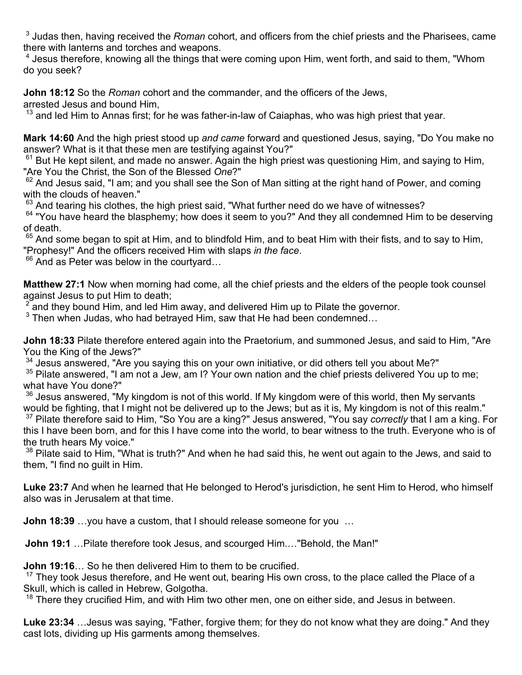3 Judas then, having received the *Roman* cohort, and officers from the chief priests and the Pharisees, came there with lanterns and torches and weapons.

 $^{\rm 4}$  Jesus therefore, knowing all the things that were coming upon Him, went forth, and said to them, "Whom do you seek?

**John 18:12** So the *Roman* cohort and the commander, and the officers of the Jews,

arrested Jesus and bound Him,

 $13$  and led Him to Annas first; for he was father-in-law of Caiaphas, who was high priest that year.

**Mark 14:60** And the high priest stood up *and came* forward and questioned Jesus, saying, "Do You make no answer? What is it that these men are testifying against You?"

 $61$  But He kept silent, and made no answer. Again the high priest was questioning Him, and saying to Him, "Are You the Christ, the Son of the Blessed *One*?"

 $62$  And Jesus said, "I am; and you shall see the Son of Man sitting at the right hand of Power, and coming with the clouds of heaven."

 $63$  And tearing his clothes, the high priest said, "What further need do we have of witnesses?

<sup>64</sup> "You have heard the blasphemy; how does it seem to you?" And they all condemned Him to be deserving of death.

 $65$  And some began to spit at Him, and to blindfold Him, and to beat Him with their fists, and to say to Him, "Prophesy!" And the officers received Him with slaps *in the face*.

 $66$  And as Peter was below in the courtyard...

**Matthew 27:1** Now when morning had come, all the chief priests and the elders of the people took counsel against Jesus to put Him to death;

 $2^{2}$  and they bound Him, and led Him away, and delivered Him up to Pilate the governor.

 $^3$  Then when Judas, who had betrayed Him, saw that He had been condemned…

**John 18:33** Pilate therefore entered again into the Praetorium, and summoned Jesus, and said to Him, "Are You the King of the Jews?"

 $34$  Jesus answered, "Are you saying this on your own initiative, or did others tell you about Me?"

<sup>35</sup> Pilate answered, "I am not a Jew, am I? Your own nation and the chief priests delivered You up to me; what have You done?"

 $36$  Jesus answered, "My kingdom is not of this world. If My kingdom were of this world, then My servants would be fighting, that I might not be delivered up to the Jews; but as it is, My kingdom is not of this realm." <sup>37</sup> Pilate therefore said to Him, "So You are a king?" Jesus answered, "You say *correctly* that I am a king. For this I have been born, and for this I have come into the world, to bear witness to the truth. Everyone who is of the truth hears My voice."

<sup>38</sup> Pilate said to Him, "What is truth?" And when he had said this, he went out again to the Jews, and said to them, "I find no guilt in Him.

**Luke 23:7** And when he learned that He belonged to Herod's jurisdiction, he sent Him to Herod, who himself also was in Jerusalem at that time.

**John 18:39** …you have a custom, that I should release someone for you …

**John 19:1** …Pilate therefore took Jesus, and scourged Him.…"Behold, the Man!"

**John 19:16**… So he then delivered Him to them to be crucified.

 $17$  They took Jesus therefore, and He went out, bearing His own cross, to the place called the Place of a Skull, which is called in Hebrew, Golgotha.

 $18$  There they crucified Him, and with Him two other men, one on either side, and Jesus in between.

**Luke 23:34** …Jesus was saying, "Father, forgive them; for they do not know what they are doing." And they cast lots, dividing up His garments among themselves.